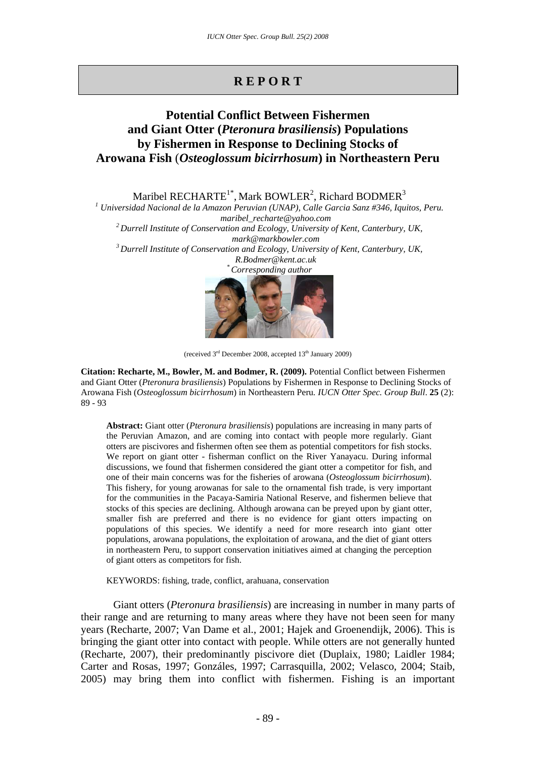# **R E P O R T**

## **Potential Conflict Between Fishermen and Giant Otter (***Pteronura brasiliensis***) Populations by Fishermen in Response to Declining Stocks of Arowana Fish** (*Osteoglossum bicirrhosum***) in Northeastern Peru**

Maribel RECHARTE<sup>1\*</sup>, Mark BOWLER<sup>2</sup>, Richard BODMER<sup>3</sup>

*1 Universidad Nacional de la Amazon Peruvian (UNAP), Calle Garcia Sanz #346, Iquitos, Peru. maribel\_recharte@yahoo.com 2 Durrell Institute of Conservation and Ecology, University of Kent, Canterbury, UK,*  mark@markbowler.com<br><sup>3</sup> Durrell Institute of Conservation and Ecology, University of Kent, Canterbury, UK,

*R.Bodmer@kent.ac.uk \* Corresponding author* 



<sup>(</sup>received  $3<sup>rd</sup>$  December 2008, accepted  $13<sup>th</sup>$  January 2009)

**Citation: Recharte, M., Bowler, M. and Bodmer, R. (2009).** Potential Conflict between Fishermen and Giant Otter (*Pteronura brasiliensis*) Populations by Fishermen in Response to Declining Stocks of Arowana Fish (*Osteoglossum bicirrhosum*) in Northeastern Peru*. IUCN Otter Spec. Group Bull*. **25** (2): 89 - 93

**Abstract:** Giant otter (*Pteronura brasiliensis*) populations are increasing in many parts of the Peruvian Amazon, and are coming into contact with people more regularly. Giant otters are piscivores and fishermen often see them as potential competitors for fish stocks. We report on giant otter - fisherman conflict on the River Yanayacu. During informal discussions, we found that fishermen considered the giant otter a competitor for fish, and one of their main concerns was for the fisheries of arowana (*Osteoglossum bicirrhosum*). This fishery, for young arowanas for sale to the ornamental fish trade, is very important for the communities in the Pacaya-Samiria National Reserve, and fishermen believe that stocks of this species are declining. Although arowana can be preyed upon by giant otter, smaller fish are preferred and there is no evidence for giant otters impacting on populations of this species. We identify a need for more research into giant otter populations, arowana populations, the exploitation of arowana, and the diet of giant otters in northeastern Peru, to support conservation initiatives aimed at changing the perception of giant otters as competitors for fish.

KEYWORDS: fishing, trade, conflict, arahuana, conservation

Giant otters (*Pteronura brasiliensis*) are increasing in number in many parts of their range and are returning to many areas where they have not been seen for many years (Recharte, 2007; Van Dame et al., 2001; Hajek and Groenendijk, 2006). This is bringing the giant otter into contact with people. While otters are not generally hunted (Recharte, 2007), their predominantly piscivore diet (Duplaix, 1980; Laidler 1984; Carter and Rosas, 1997; Gonzáles, 1997; Carrasquilla, 2002; Velasco, 2004; Staib, 2005) may bring them into conflict with fishermen. Fishing is an important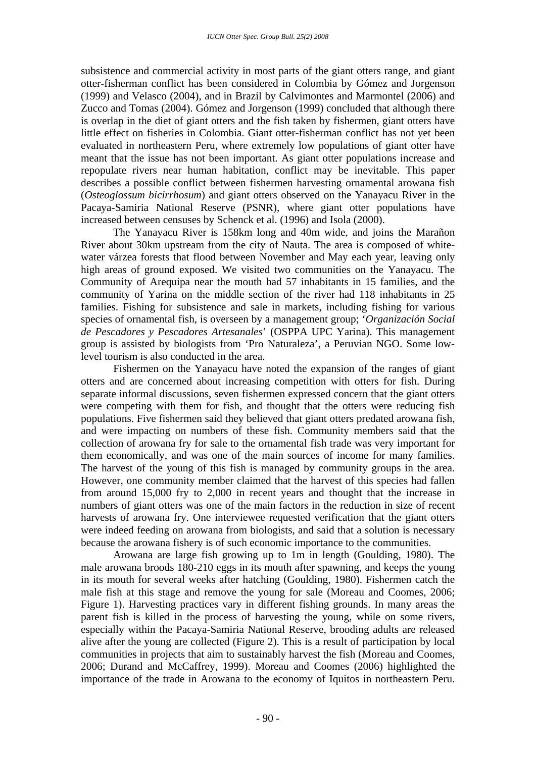subsistence and commercial activity in most parts of the giant otters range, and giant otter-fisherman conflict has been considered in Colombia by Gómez and Jorgenson (1999) and Velasco (2004), and in Brazil by Calvimontes and Marmontel (2006) and Zucco and Tomas (2004). Gómez and Jorgenson (1999) concluded that although there is overlap in the diet of giant otters and the fish taken by fishermen, giant otters have little effect on fisheries in Colombia. Giant otter-fisherman conflict has not yet been evaluated in northeastern Peru, where extremely low populations of giant otter have meant that the issue has not been important. As giant otter populations increase and repopulate rivers near human habitation, conflict may be inevitable. This paper describes a possible conflict between fishermen harvesting ornamental arowana fish (*Osteoglossum bicirrhosum*) and giant otters observed on the Yanayacu River in the Pacaya-Samiria National Reserve (PSNR), where giant otter populations have increased between censuses by Schenck et al. (1996) and Isola (2000).

The Yanayacu River is 158km long and 40m wide, and joins the Marañon River about 30km upstream from the city of Nauta. The area is composed of whitewater várzea forests that flood between November and May each year, leaving only high areas of ground exposed. We visited two communities on the Yanayacu. The Community of Arequipa near the mouth had 57 inhabitants in 15 families, and the community of Yarina on the middle section of the river had 118 inhabitants in 25 families. Fishing for subsistence and sale in markets, including fishing for various species of ornamental fish, is overseen by a management group; '*Organización Social de Pescadores y Pescadores Artesanales*' (OSPPA UPC Yarina). This management group is assisted by biologists from 'Pro Naturaleza', a Peruvian NGO. Some lowlevel tourism is also conducted in the area.

Fishermen on the Yanayacu have noted the expansion of the ranges of giant otters and are concerned about increasing competition with otters for fish. During separate informal discussions, seven fishermen expressed concern that the giant otters were competing with them for fish, and thought that the otters were reducing fish populations. Five fishermen said they believed that giant otters predated arowana fish, and were impacting on numbers of these fish. Community members said that the collection of arowana fry for sale to the ornamental fish trade was very important for them economically, and was one of the main sources of income for many families. The harvest of the young of this fish is managed by community groups in the area. However, one community member claimed that the harvest of this species had fallen from around 15,000 fry to 2,000 in recent years and thought that the increase in numbers of giant otters was one of the main factors in the reduction in size of recent harvests of arowana fry. One interviewee requested verification that the giant otters were indeed feeding on arowana from biologists, and said that a solution is necessary because the arowana fishery is of such economic importance to the communities.

Arowana are large fish growing up to 1m in length (Goulding, 1980). The male arowana broods 180-210 eggs in its mouth after spawning, and keeps the young in its mouth for several weeks after hatching (Goulding, 1980). Fishermen catch the male fish at this stage and remove the young for sale (Moreau and Coomes, 2006; Figure 1). Harvesting practices vary in different fishing grounds. In many areas the parent fish is killed in the process of harvesting the young, while on some rivers, especially within the Pacaya-Samiria National Reserve, brooding adults are released alive after the young are collected (Figure 2). This is a result of participation by local communities in projects that aim to sustainably harvest the fish (Moreau and Coomes, 2006; Durand and McCaffrey, 1999). Moreau and Coomes (2006) highlighted the importance of the trade in Arowana to the economy of Iquitos in northeastern Peru.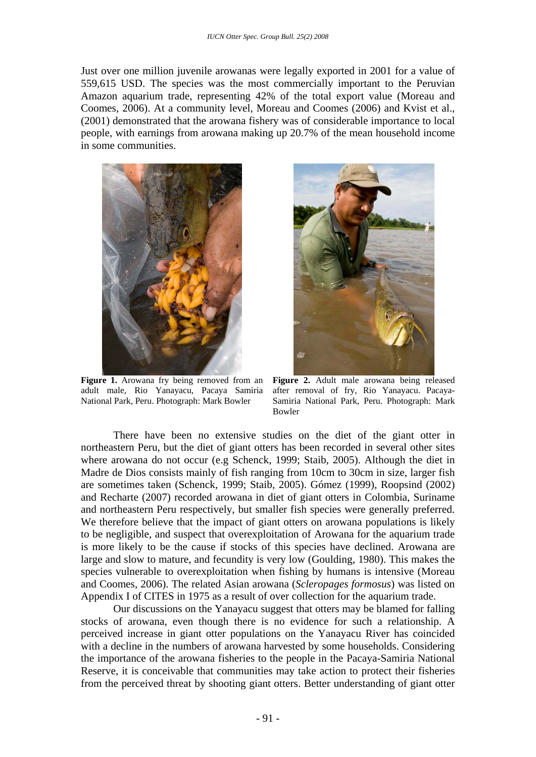Just over one million juvenile arowanas were legally exported in 2001 for a value of 559,615 USD. The species was the most commercially important to the Peruvian Amazon aquarium trade, representing 42% of the total export value (Moreau and Coomes, 2006). At a community level, Moreau and Coomes (2006) and Kvist et al., (2001) demonstrated that the arowana fishery was of considerable importance to local people, with earnings from arowana making up 20.7% of the mean household income in some communities.



Figure 1. Arowana fry being removed from an adult male, Rio Yanayacu, Pacaya Samiria National Park, Peru. Photograph: Mark Bowler



**Figure 2.** Adult male arowana being released after removal of fry, Rio Yanayacu. Pacaya-Samiria National Park, Peru. Photograph: Mark Bowler

There have been no extensive studies on the diet of the giant otter in northeastern Peru, but the diet of giant otters has been recorded in several other sites where arowana do not occur (e.g Schenck, 1999; Staib, 2005). Although the diet in Madre de Dios consists mainly of fish ranging from 10cm to 30cm in size, larger fish are sometimes taken (Schenck, 1999; Staib, 2005). Gómez (1999), Roopsind (2002) and Recharte (2007) recorded arowana in diet of giant otters in Colombia, Suriname and northeastern Peru respectively, but smaller fish species were generally preferred. We therefore believe that the impact of giant otters on arowana populations is likely to be negligible, and suspect that overexploitation of Arowana for the aquarium trade is more likely to be the cause if stocks of this species have declined. Arowana are large and slow to mature, and fecundity is very low (Goulding, 1980). This makes the species vulnerable to overexploitation when fishing by humans is intensive (Moreau and Coomes, 2006). The related Asian arowana (*Scleropages formosus*) was listed on Appendix I of CITES in 1975 as a result of over collection for the aquarium trade.

Our discussions on the Yanayacu suggest that otters may be blamed for falling stocks of arowana, even though there is no evidence for such a relationship. A perceived increase in giant otter populations on the Yanayacu River has coincided with a decline in the numbers of arowana harvested by some households. Considering the importance of the arowana fisheries to the people in the Pacaya-Samiria National Reserve, it is conceivable that communities may take action to protect their fisheries from the perceived threat by shooting giant otters. Better understanding of giant otter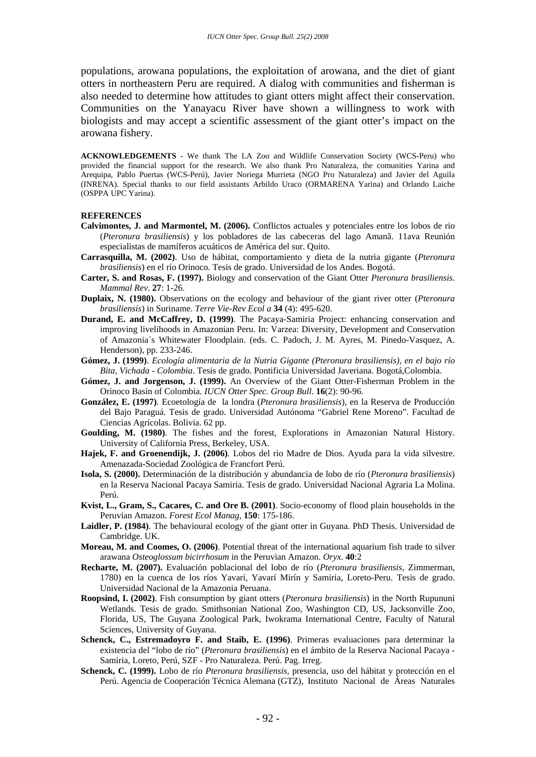populations, arowana populations, the exploitation of arowana, and the diet of giant otters in northeastern Peru are required. A dialog with communities and fisherman is also needed to determine how attitudes to giant otters might affect their conservation. Communities on the Yanayacu River have shown a willingness to work with biologists and may accept a scientific assessment of the giant otter's impact on the arowana fishery.

**ACKNOWLEDGEMENTS** - We thank The LA Zoo and Wildlife Conservation Society (WCS-Peru) who provided the financial support for the research. We also thank Pro Naturaleza, the comunities Yarina and Arequipa, Pablo Puertas (WCS-Perú), Javier Noriega Murrieta (NGO Pro Naturaleza) and Javier del Aguila (INRENA). Special thanks to our field assistants Arbildo Uraco (ORMARENA Yarina) and Orlando Laiche (OSPPA UPC Yarina).

## **REFERENCES**

- **Calvimontes, J. and Marmontel, M. (2006).** Conflictos actuales y potenciales entre los lobos de rio (*Pteronura brasiliensis*) y los pobladores de las cabeceras del lago Amanã. 11ava Reunión especialistas de mamíferos acuáticos de América del sur. Quito.
- **Carrasquilla, M. (2002)**. Uso de hábitat, comportamiento y dieta de la nutria gigante (*Pteronura brasiliensis*) en el río Orinoco. Tesis de grado. Universidad de los Andes. Bogotá.
- **Carter, S. and Rosas, F. (1997).** Biology and conservation of the Giant Otter *Pteronura brasiliensis*. *Mammal Rev*. **27**: 1-26.
- **Duplaix, N. (1980).** Observations on the ecology and behaviour of the giant river otter (*Pteronura brasiliensis*) in Suriname. *Terre Vie-Rev Ecol a* **34** (4): 495-620.
- **Durand, E. and McCaffrey, D. (1999)**. The Pacaya-Samiria Project: enhancing conservation and improving livelihoods in Amazonian Peru. In: Varzea: Diversity, Development and Conservation of Amazonia´s Whitewater Floodplain. (eds. C. Padoch, J. M. Ayres, M. Pinedo-Vasquez, A. Henderson), pp. 233-246.
- **Gómez, J. (1999)**. *Ecología alimentaria de la Nutria Gigante (Pteronura brasiliensis), en el bajo río Bita, Vichada - Colombia*. Tesis de grado. Pontificia Universidad Javeriana. Bogotá,Colombia.
- **Gómez, J. and Jorgenson, J. (1999).** An Overview of the Giant Otter-Fisherman Problem in the Orinoco Basin of Colombia. *IUCN Otter Spec. Group Bull*. **16**(2): 90-96.
- **González, E. (1997)**. Ecoetología de la londra (*Pteronura brasiliensis*), en la Reserva de Producción del Bajo Paraguá. Tesis de grado. Universidad Autónoma "Gabriel Rene Moreno". Facultad de Ciencias Agrícolas. Bolivia. 62 pp.
- Goulding, M. (1980). The fishes and the forest, Explorations in Amazonian Natural History. University of California Press, Berkeley, USA.
- **Hajek, F. and Groenendijk, J. (2006)**. Lobos del rio Madre de Dios. Ayuda para la vida silvestre. Amenazada-Sociedad Zoológica de Francfort Perú.
- **Isola, S. (2000).** Determinación de la distribución y abundancia de lobo de río (*Pteronura brasiliensis*) en la Reserva Nacional Pacaya Samiria. Tesis de grado. Universidad Nacional Agraria La Molina. Perú.
- **Kvist, L., Gram, S., Cacares, C. and Ore B. (2001)**. Socio-economy of flood plain households in the Peruvian Amazon. *Forest Ecol Manag*, **150**: 175-186.
- **Laidler, P. (1984)**. The behavioural ecology of the giant otter in Guyana. PhD Thesis. Universidad de Cambridge. UK.
- **Moreau, M. and Coomes, O. (2006)**. Potential threat of the international aquarium fish trade to silver arawana *Osteoglossum bicirrhosum* in the Peruvian Amazon. *Oryx*. **40**:2
- **Recharte, M. (2007).** Evaluación poblacional del lobo de río (*Pteronura brasiliensis*, Zimmerman, 1780) en la cuenca de los ríos Yavarí, Yavarí Mirín y Samiria, Loreto-Peru. Tesis de grado. Universidad Nacional de la Amazonia Peruana.
- **Roopsind, I. (2002)**. Fish consumption by giant otters (*Pteronura brasiliensis*) in the North Rupununi Wetlands. Tesis de grado. Smithsonian National Zoo, Washington CD, US, Jacksonville Zoo, Florida, US, The Guyana Zoological Park, Iwokrama International Centre, Faculty of Natural Sciences, University of Guyana.
- **Schenck, C., Estremadoyro F. and Staib, E. (1996)**. Primeras evaluaciones para determinar la existencia del "lobo de río" (*Pteronura brasiliensis*) en el ámbito de la Reserva Nacional Pacaya - Samiria, Loreto, Perú, SZF - Pro Naturaleza. Perú. Pag. Irreg.
- **Schenck, C. (1999).** Lobo de río *Pteronura brasiliensis*, presencia, uso del hábitat y protección en el Perú. Agencia de Cooperación Técnica Alemana (GTZ), Instituto Nacional de Áreas Naturales